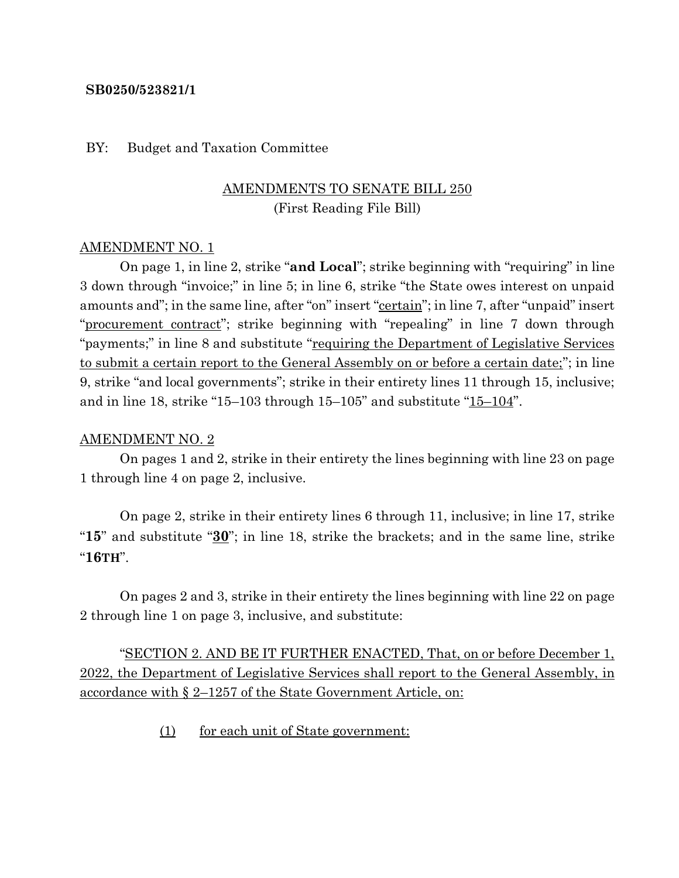### **SB0250/523821/1**

#### BY: Budget and Taxation Committee

## AMENDMENTS TO SENATE BILL 250 (First Reading File Bill)

#### AMENDMENT NO. 1

On page 1, in line 2, strike "**and Local**"; strike beginning with "requiring" in line 3 down through "invoice;" in line 5; in line 6, strike "the State owes interest on unpaid amounts and"; in the same line, after "on" insert "certain"; in line 7, after "unpaid" insert "procurement contract"; strike beginning with "repealing" in line 7 down through "payments;" in line 8 and substitute "requiring the Department of Legislative Services to submit a certain report to the General Assembly on or before a certain date;"; in line 9, strike "and local governments"; strike in their entirety lines 11 through 15, inclusive; and in line 18, strike "15–103 through  $15$ –105" and substitute " $15$ –104".

#### AMENDMENT NO. 2

On pages 1 and 2, strike in their entirety the lines beginning with line 23 on page 1 through line 4 on page 2, inclusive.

On page 2, strike in their entirety lines 6 through 11, inclusive; in line 17, strike "**15**" and substitute "**30**"; in line 18, strike the brackets; and in the same line, strike "**16TH**".

On pages 2 and 3, strike in their entirety the lines beginning with line 22 on page 2 through line 1 on page 3, inclusive, and substitute:

"SECTION 2. AND BE IT FURTHER ENACTED, That, on or before December 1, 2022, the Department of Legislative Services shall report to the General Assembly, in accordance with § 2–1257 of the State Government Article, on:

(1) for each unit of State government: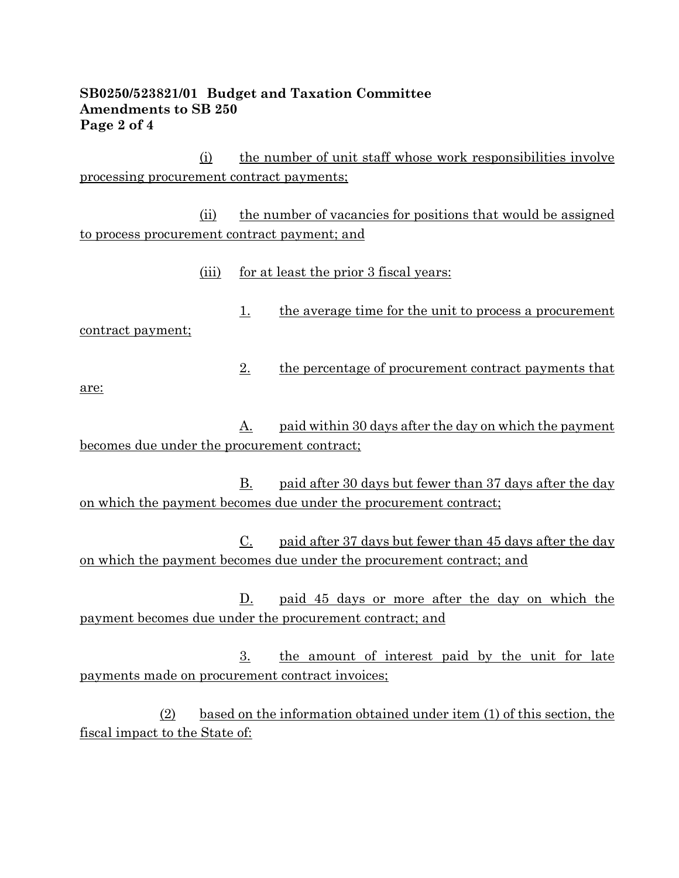## **SB0250/523821/01 Budget and Taxation Committee Amendments to SB 250 Page 2 of 4**

(i) the number of unit staff whose work responsibilities involve processing procurement contract payments;

(ii) the number of vacancies for positions that would be assigned to process procurement contract payment; and

- (iii) for at least the prior 3 fiscal years:
- 1. the average time for the unit to process a procurement contract payment;

2. the percentage of procurement contract payments that

are:

A. paid within 30 days after the day on which the payment becomes due under the procurement contract;

B. paid after 30 days but fewer than 37 days after the day on which the payment becomes due under the procurement contract;

C. paid after 37 days but fewer than 45 days after the day on which the payment becomes due under the procurement contract; and

D. paid 45 days or more after the day on which the payment becomes due under the procurement contract; and

3. the amount of interest paid by the unit for late payments made on procurement contract invoices;

(2) based on the information obtained under item (1) of this section, the fiscal impact to the State of: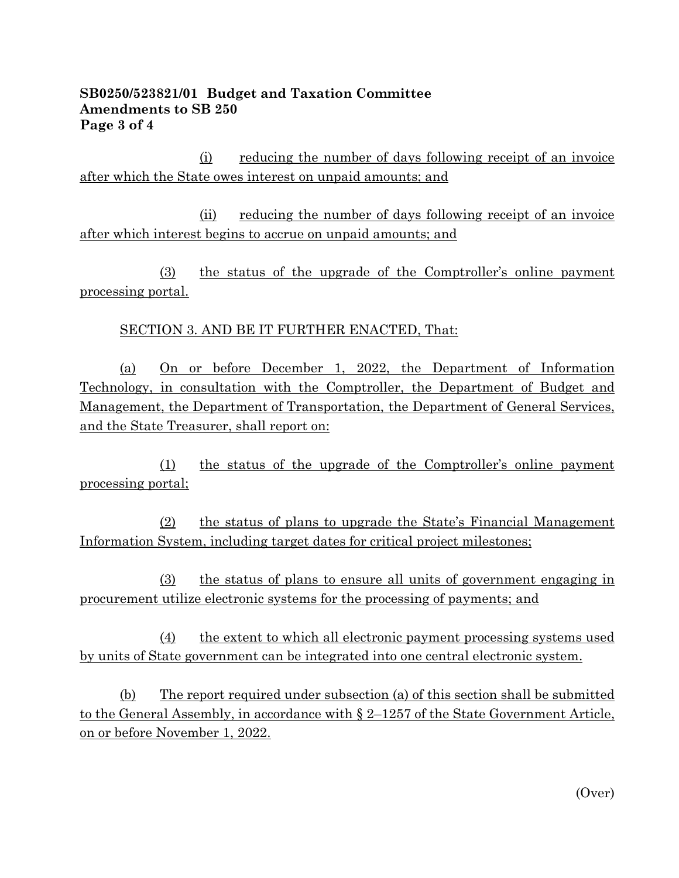## **SB0250/523821/01 Budget and Taxation Committee Amendments to SB 250 Page 3 of 4**

(i) reducing the number of days following receipt of an invoice after which the State owes interest on unpaid amounts; and

(ii) reducing the number of days following receipt of an invoice after which interest begins to accrue on unpaid amounts; and

(3) the status of the upgrade of the Comptroller's online payment processing portal.

# SECTION 3. AND BE IT FURTHER ENACTED, That:

(a) On or before December 1, 2022, the Department of Information Technology, in consultation with the Comptroller, the Department of Budget and Management, the Department of Transportation, the Department of General Services, and the State Treasurer, shall report on:

(1) the status of the upgrade of the Comptroller's online payment processing portal;

(2) the status of plans to upgrade the State's Financial Management Information System, including target dates for critical project milestones;

(3) the status of plans to ensure all units of government engaging in procurement utilize electronic systems for the processing of payments; and

(4) the extent to which all electronic payment processing systems used by units of State government can be integrated into one central electronic system.

(b) The report required under subsection (a) of this section shall be submitted to the General Assembly, in accordance with § 2–1257 of the State Government Article, on or before November 1, 2022.

(Over)